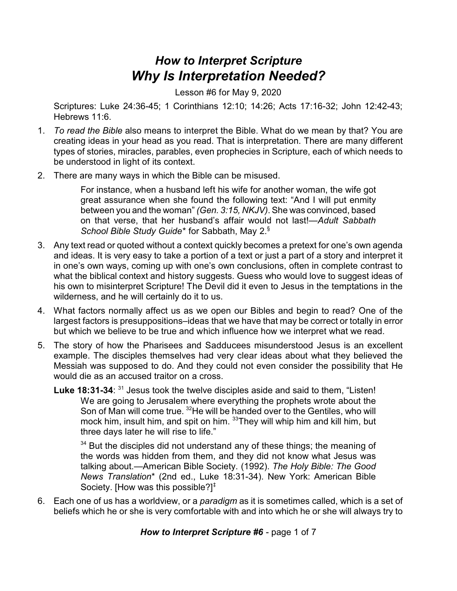## *How to Interpret Scripture Why Is Interpretation Needed?*

Lesson #6 for May 9, 2020

Scriptures: Luke 24:36-45; 1 Corinthians 12:10; 14:26; Acts 17:16-32; John 12:42-43; Hebrews 11:6.

- 1. *To read the Bible* also means to interpret the Bible. What do we mean by that? You are creating ideas in your head as you read. That is interpretation. There are many different types of stories, miracles, parables, even prophecies in Scripture, each of which needs to be understood in light of its context.
- 2. There are many ways in which the Bible can be misused.

For instance, when a husband left his wife for another woman, the wife got great assurance when she found the following text: "And I will put enmity between you and the woman" *(Gen. 3:15, NKJV)*. She was convinced, based on that verse, that her husband's affair would not last!—*Adult Sabbath School Bible Study Guide*\* for Sabbath, May 2.§

- 3. Any text read or quoted without a context quickly becomes a pretext for one's own agenda and ideas. It is very easy to take a portion of a text or just a part of a story and interpret it in one's own ways, coming up with one's own conclusions, often in complete contrast to what the biblical context and history suggests. Guess who would love to suggest ideas of his own to misinterpret Scripture! The Devil did it even to Jesus in the temptations in the wilderness, and he will certainly do it to us.
- 4. What factors normally affect us as we open our Bibles and begin to read? One of the largest factors is presuppositions–ideas that we have that may be correct or totally in error but which we believe to be true and which influence how we interpret what we read.
- 5. The story of how the Pharisees and Sadducees misunderstood Jesus is an excellent example. The disciples themselves had very clear ideas about what they believed the Messiah was supposed to do. And they could not even consider the possibility that He would die as an accused traitor on a cross.
	- Luke 18:31-34: <sup>31</sup> Jesus took the twelve disciples aside and said to them, "Listen! We are going to Jerusalem where everything the prophets wrote about the Son of Man will come true. <sup>32</sup>He will be handed over to the Gentiles, who will mock him, insult him, and spit on him. <sup>33</sup>They will whip him and kill him, but three days later he will rise to life."

 $34$  But the disciples did not understand any of these things; the meaning of the words was hidden from them, and they did not know what Jesus was talking about.—American Bible Society. (1992). *The Holy Bible: The Good News Translation*\* (2nd ed., Luke 18:31-34). New York: American Bible Society. [How was this possible?] $\dagger$ 

6. Each one of us has a worldview, or a *paradigm* as it is sometimes called, which is a set of beliefs which he or she is very comfortable with and into which he or she will always try to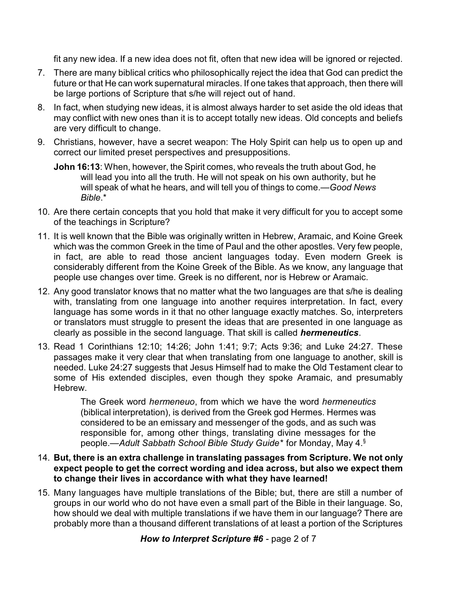fit any new idea. If a new idea does not fit, often that new idea will be ignored or rejected.

- 7. There are many biblical critics who philosophically reject the idea that God can predict the future or that He can work supernatural miracles. If one takes that approach, then there will be large portions of Scripture that s/he will reject out of hand.
- 8. In fact, when studying new ideas, it is almost always harder to set aside the old ideas that may conflict with new ones than it is to accept totally new ideas. Old concepts and beliefs are very difficult to change.
- 9. Christians, however, have a secret weapon: The Holy Spirit can help us to open up and correct our limited preset perspectives and presuppositions.
	- **John 16:13**: When, however, the Spirit comes, who reveals the truth about God, he will lead you into all the truth. He will not speak on his own authority, but he will speak of what he hears, and will tell you of things to come.—*Good News Bible*.\*
- 10. Are there certain concepts that you hold that make it very difficult for you to accept some of the teachings in Scripture?
- 11. It is well known that the Bible was originally written in Hebrew, Aramaic, and Koine Greek which was the common Greek in the time of Paul and the other apostles. Very few people, in fact, are able to read those ancient languages today. Even modern Greek is considerably different from the Koine Greek of the Bible. As we know, any language that people use changes over time. Greek is no different, nor is Hebrew or Aramaic.
- 12. Any good translator knows that no matter what the two languages are that s/he is dealing with, translating from one language into another requires interpretation. In fact, every language has some words in it that no other language exactly matches. So, interpreters or translators must struggle to present the ideas that are presented in one language as clearly as possible in the second language. That skill is called *hermeneutics*.
- 13. Read 1 Corinthians 12:10; 14:26; John 1:41; 9:7; Acts 9:36; and Luke 24:27. These passages make it very clear that when translating from one language to another, skill is needed. Luke 24:27 suggests that Jesus Himself had to make the Old Testament clear to some of His extended disciples, even though they spoke Aramaic, and presumably Hebrew.

The Greek word *hermeneuo*, from which we have the word *hermeneutics* (biblical interpretation), is derived from the Greek god Hermes. Hermes was considered to be an emissary and messenger of the gods, and as such was responsible for, among other things, translating divine messages for the people.—*Adult Sabbath School Bible Study Guide*\* for Monday, May 4.§

- 14. **But, there is an extra challenge in translating passages from Scripture. We not only expect people to get the correct wording and idea across, but also we expect them to change their lives in accordance with what they have learned!**
- 15. Many languages have multiple translations of the Bible; but, there are still a number of groups in our world who do not have even a small part of the Bible in their language. So, how should we deal with multiple translations if we have them in our language? There are probably more than a thousand different translations of at least a portion of the Scriptures

*How to Interpret Scripture #6* - page 2 of 7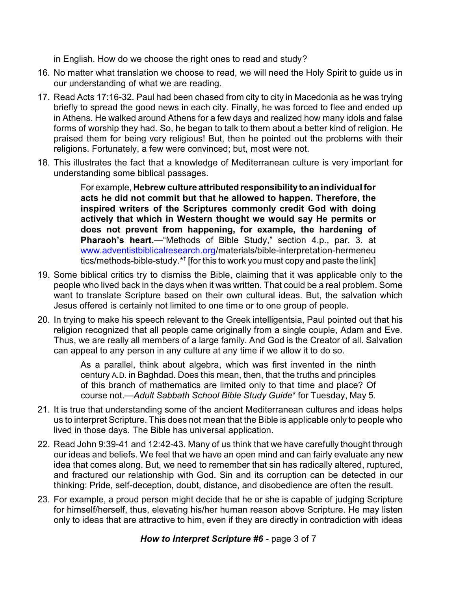in English. How do we choose the right ones to read and study?

- 16. No matter what translation we choose to read, we will need the Holy Spirit to guide us in our understanding of what we are reading.
- 17. Read Acts 17:16-32. Paul had been chased from city to city in Macedonia as he was trying briefly to spread the good news in each city. Finally, he was forced to flee and ended up in Athens. He walked around Athens for a few days and realized how many idols and false forms of worship they had. So, he began to talk to them about a better kind of religion. He praised them for being very religious! But, then he pointed out the problems with their religions. Fortunately, a few were convinced; but, most were not.
- 18. This illustrates the fact that a knowledge of Mediterranean culture is very important for understanding some biblical passages.

For example, **Hebrew culture attributedresponsibilityto an individual for acts he did not commit but that he allowed to happen. Therefore, the inspired writers of the Scriptures commonly credit God with doing actively that which in Western thought we would say He permits or does not prevent from happening, for example, the hardening of Pharaoh's heart.**—"Methods of Bible Study," section 4.p., par. 3. at [www.adventistbiblicalresearch.org](http://www.adventistbiblicalresearch.org)/materials/bible-interpretation-hermeneu tics/methods-bible-study.\*† [for this to work you must copy and paste the link]

- 19. Some biblical critics try to dismiss the Bible, claiming that it was applicable only to the people who lived back in the days when it was written. That could be a real problem. Some want to translate Scripture based on their own cultural ideas. But, the salvation which Jesus offered is certainly not limited to one time or to one group of people.
- 20. In trying to make his speech relevant to the Greek intelligentsia, Paul pointed out that his religion recognized that all people came originally from a single couple, Adam and Eve. Thus, we are really all members of a large family. And God is the Creator of all. Salvation can appeal to any person in any culture at any time if we allow it to do so.

As a parallel, think about algebra, which was first invented in the ninth century A.D. in Baghdad. Does this mean, then, that the truths and principles of this branch of mathematics are limited only to that time and place? Of course not.—*Adult Sabbath School Bible Study Guide*\* for Tuesday, May 5.

- 21. It is true that understanding some of the ancient Mediterranean cultures and ideas helps us to interpret Scripture. This does not mean that the Bible is applicable only to people who lived in those days. The Bible has universal application.
- 22. Read John 9:39-41 and 12:42-43. Many of us think that we have carefully thought through our ideas and beliefs. We feel that we have an open mind and can fairly evaluate any new idea that comes along. But, we need to remember that sin has radically altered, ruptured, and fractured our relationship with God. Sin and its corruption can be detected in our thinking: Pride, self-deception, doubt, distance, and disobedience are often the result.
- 23. For example, a proud person might decide that he or she is capable of judging Scripture for himself/herself, thus, elevating his/her human reason above Scripture. He may listen only to ideas that are attractive to him, even if they are directly in contradiction with ideas

*How to Interpret Scripture #6* - page 3 of 7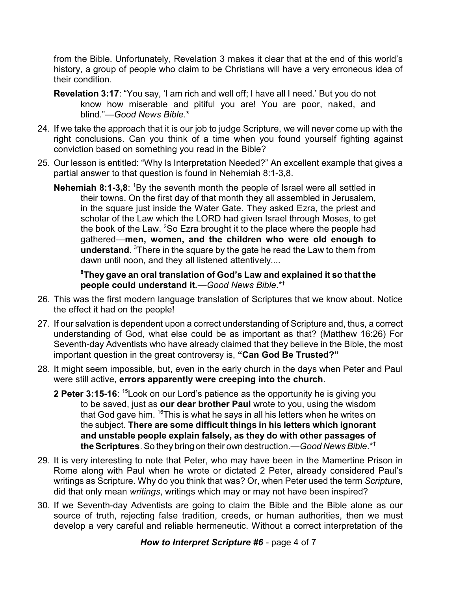from the Bible. Unfortunately, Revelation 3 makes it clear that at the end of this world's history, a group of people who claim to be Christians will have a very erroneous idea of their condition.

- **Revelation 3:17**: "You say, 'I am rich and well off; I have all I need.' But you do not know how miserable and pitiful you are! You are poor, naked, and blind."*—Good News Bible*.\*
- 24. If we take the approach that it is our job to judge Scripture, we will never come up with the right conclusions. Can you think of a time when you found yourself fighting against conviction based on something you read in the Bible?
- 25. Our lesson is entitled: "Why Is Interpretation Needed?" An excellent example that gives a partial answer to that question is found in Nehemiah 8:1-3,8.
	- **Nehemiah 8:1-3,8:** <sup>1</sup>By the seventh month the people of Israel were all settled in their towns. On the first day of that month they all assembled in Jerusalem, in the square just inside the Water Gate. They asked Ezra, the priest and scholar of the Law which the LORD had given Israel through Moses, to get the book of the Law. <sup>2</sup>So Ezra brought it to the place where the people had gathered—**men, women, and the children who were old enough to understand**. <sup>3</sup>There in the square by the gate he read the Law to them from dawn until noon, and they all listened attentively*....*

**<sup>8</sup>They gave an oral translation of God's Law and explained it so that the people could understand it.***—Good News Bible*.\*†

- 26. This was the first modern language translation of Scriptures that we know about. Notice the effect it had on the people!
- 27. If our salvation is dependent upon a correct understanding of Scripture and, thus, a correct understanding of God, what else could be as important as that? (Matthew 16:26) For Seventh-day Adventists who have already claimed that they believe in the Bible, the most important question in the great controversy is, **"Can God Be Trusted?"**
- 28. It might seem impossible, but, even in the early church in the days when Peter and Paul were still active, **errors apparently were creeping into the church**.
	- **2 Peter 3:15-16**: <sup>15</sup>Look on our Lord's patience as the opportunity he is giving you to be saved, just as **our dear brother Paul** wrote to you, using the wisdom that God gave him. <sup>16</sup>This is what he says in all his letters when he writes on the subject. **There are some difficult things in his letters which ignorant and unstable people explain falsely, as they do with other passages of the Scriptures**. So they bring on their own destruction.—*Good News Bible*.\*†
- 29. It is very interesting to note that Peter, who may have been in the Mamertine Prison in Rome along with Paul when he wrote or dictated 2 Peter, already considered Paul's writings as Scripture. Why do you think that was? Or, when Peter used the term *Scripture*, did that only mean *writings*, writings which may or may not have been inspired?
- 30. If we Seventh-day Adventists are going to claim the Bible and the Bible alone as our source of truth, rejecting false tradition, creeds, or human authorities, then we must develop a very careful and reliable hermeneutic. Without a correct interpretation of the

*How to Interpret Scripture #6* - page 4 of 7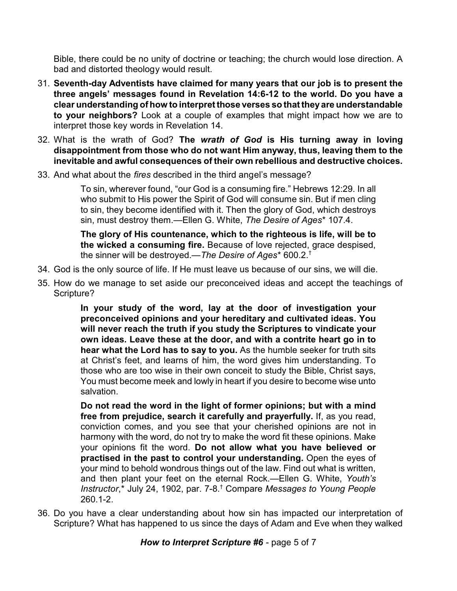Bible, there could be no unity of doctrine or teaching; the church would lose direction. A bad and distorted theology would result.

- 31. **Seventh-day Adventists have claimed for many years that our job is to present the three angels' messages found in Revelation 14:6-12 to the world. Do you have a clear understanding of how to interpret those verses so that theyare understandable to your neighbors?** Look at a couple of examples that might impact how we are to interpret those key words in Revelation 14.
- 32. What is the wrath of God? **The** *wrath of God* **is His turning away in loving disappointment from those who do not want Him anyway, thus, leaving them to the inevitable and awful consequences of their own rebellious and destructive choices.**
- 33. And what about the *fires* described in the third angel's message?

To sin, wherever found, "our God is a consuming fire." Hebrews 12:29. In all who submit to His power the Spirit of God will consume sin. But if men cling to sin, they become identified with it. Then the glory of God, which destroys sin, must destroy them.—Ellen G. White, *The Desire of Ages*\* 107.4.

**The glory of His countenance, which to the righteous is life, will be to the wicked a consuming fire.** Because of love rejected, grace despised, the sinner will be destroyed.—*The Desire of Ages*\* 600.2.†

- 34. God is the only source of life. If He must leave us because of our sins, we will die.
- 35. How do we manage to set aside our preconceived ideas and accept the teachings of Scripture?

**In your study of the word, lay at the door of investigation your preconceived opinions and your hereditary and cultivated ideas. You will never reach the truth if you study the Scriptures to vindicate your own ideas. Leave these at the door, and with a contrite heart go in to hear what the Lord has to say to you.** As the humble seeker for truth sits at Christ's feet, and learns of him, the word gives him understanding. To those who are too wise in their own conceit to study the Bible, Christ says, You must become meek and lowly in heart if you desire to become wise unto salvation.

**Do not read the word in the light of former opinions; but with a mind free from prejudice, search it carefully and prayerfully.** If, as you read, conviction comes, and you see that your cherished opinions are not in harmony with the word, do not try to make the word fit these opinions. Make your opinions fit the word. **Do not allow what you have believed or practised in the past to control your understanding.** Open the eyes of your mind to behold wondrous things out of the law. Find out what is written, and then plant your feet on the eternal Rock.—Ellen G. White, *Youth's Instructor*,\* July 24, 1902, par. 7-8.† Compare *Messages to Young People* 260.1-2.

36. Do you have a clear understanding about how sin has impacted our interpretation of Scripture? What has happened to us since the days of Adam and Eve when they walked

*How to Interpret Scripture #6* - page 5 of 7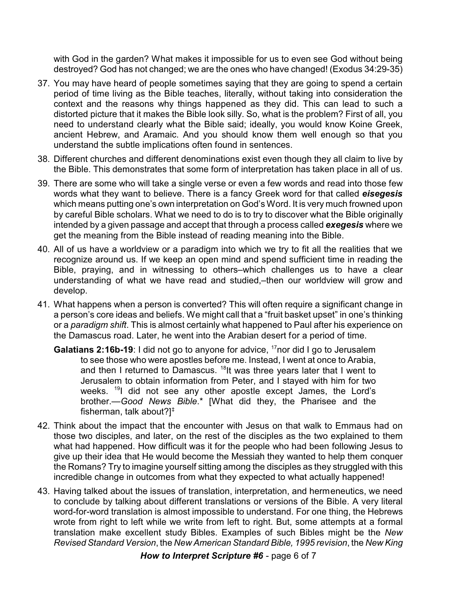with God in the garden? What makes it impossible for us to even see God without being destroyed? God has not changed; we are the ones who have changed! (Exodus 34:29-35)

- 37. You may have heard of people sometimes saying that they are going to spend a certain period of time living as the Bible teaches, literally, without taking into consideration the context and the reasons why things happened as they did. This can lead to such a distorted picture that it makes the Bible look silly. So, what is the problem? First of all, you need to understand clearly what the Bible said; ideally, you would know Koine Greek, ancient Hebrew, and Aramaic. And you should know them well enough so that you understand the subtle implications often found in sentences.
- 38. Different churches and different denominations exist even though they all claim to live by the Bible. This demonstrates that some form of interpretation has taken place in all of us.
- 39. There are some who will take a single verse or even a few words and read into those few words what they want to believe. There is a fancy Greek word for that called *eisegesis* which means putting one's own interpretation on God's Word. It is very much frowned upon by careful Bible scholars. What we need to do is to try to discover what the Bible originally intended by a given passage and accept that through a process called *exegesis* where we get the meaning from the Bible instead of reading meaning into the Bible.
- 40. All of us have a worldview or a paradigm into which we try to fit all the realities that we recognize around us. If we keep an open mind and spend sufficient time in reading the Bible, praying, and in witnessing to others–which challenges us to have a clear understanding of what we have read and studied,–then our worldview will grow and develop.
- 41. What happens when a person is converted? This will often require a significant change in a person's core ideas and beliefs. We might call that a "fruit basket upset" in one's thinking or a *paradigm shift*. This is almost certainly what happened to Paul after his experience on the Damascus road. Later, he went into the Arabian desert for a period of time.
	- **Galatians 2:16b-19**: I did not go to anyone for advice, <sup>17</sup>nor did I go to Jerusalem to see those who were apostles before me. Instead, I went at once to Arabia, and then I returned to Damascus. <sup>18</sup>It was three years later that I went to Jerusalem to obtain information from Peter, and I stayed with him for two weeks. <sup>19</sup>I did not see any other apostle except James, the Lord's brother.—*Good News Bible*.\* [What did they, the Pharisee and the fisherman, talk about?]‡
- 42. Think about the impact that the encounter with Jesus on that walk to Emmaus had on those two disciples, and later, on the rest of the disciples as the two explained to them what had happened. How difficult was it for the people who had been following Jesus to give up their idea that He would become the Messiah they wanted to help them conquer the Romans? Try to imagine yourself sitting among the disciples as they struggled with this incredible change in outcomes from what they expected to what actually happened!
- 43. Having talked about the issues of translation, interpretation, and hermeneutics, we need to conclude by talking about different translations or versions of the Bible. A very literal word-for-word translation is almost impossible to understand. For one thing, the Hebrews wrote from right to left while we write from left to right. But, some attempts at a formal translation make excellent study Bibles. Examples of such Bibles might be the *New Revised Standard Version*, the *New American Standard Bible, 1995 revision*, the *New King*